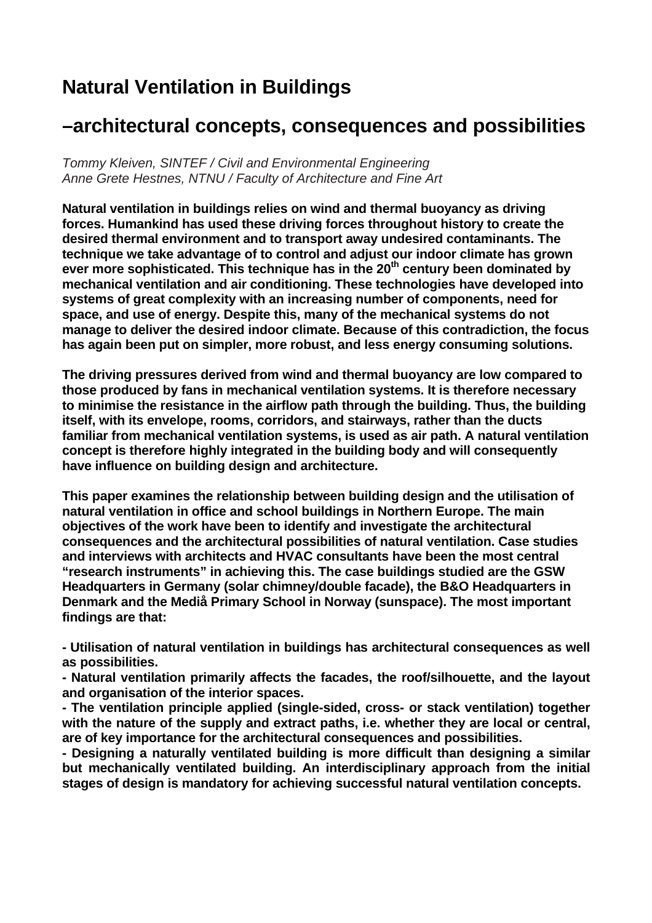# **Natural Ventilation in Buildings**

## **–architectural concepts, consequences and possibilities**

*Tommy Kleiven, SINTEF / Civil and Environmental Engineering Anne Grete Hestnes, NTNU / Faculty of Architecture and Fine Art* 

**Natural ventilation in buildings relies on wind and thermal buoyancy as driving forces. Humankind has used these driving forces throughout history to create the desired thermal environment and to transport away undesired contaminants. The technique we take advantage of to control and adjust our indoor climate has grown**  ever more sophisticated. This technique has in the 20<sup>th</sup> century been dominated by **mechanical ventilation and air conditioning. These technologies have developed into systems of great complexity with an increasing number of components, need for space, and use of energy. Despite this, many of the mechanical systems do not manage to deliver the desired indoor climate. Because of this contradiction, the focus has again been put on simpler, more robust, and less energy consuming solutions.** 

**The driving pressures derived from wind and thermal buoyancy are low compared to those produced by fans in mechanical ventilation systems. It is therefore necessary to minimise the resistance in the airflow path through the building. Thus, the building itself, with its envelope, rooms, corridors, and stairways, rather than the ducts familiar from mechanical ventilation systems, is used as air path. A natural ventilation concept is therefore highly integrated in the building body and will consequently have influence on building design and architecture.** 

**This paper examines the relationship between building design and the utilisation of natural ventilation in office and school buildings in Northern Europe. The main objectives of the work have been to identify and investigate the architectural consequences and the architectural possibilities of natural ventilation. Case studies and interviews with architects and HVAC consultants have been the most central "research instruments" in achieving this. The case buildings studied are the GSW Headquarters in Germany (solar chimney/double facade), the B&O Headquarters in Denmark and the Mediå Primary School in Norway (sunspace). The most important findings are that:**

**- Utilisation of natural ventilation in buildings has architectural consequences as well as possibilities.** 

**- Natural ventilation primarily affects the facades, the roof/silhouette, and the layout and organisation of the interior spaces.** 

**- The ventilation principle applied (single-sided, cross- or stack ventilation) together with the nature of the supply and extract paths, i.e. whether they are local or central, are of key importance for the architectural consequences and possibilities.** 

**- Designing a naturally ventilated building is more difficult than designing a similar but mechanically ventilated building. An interdisciplinary approach from the initial stages of design is mandatory for achieving successful natural ventilation concepts.**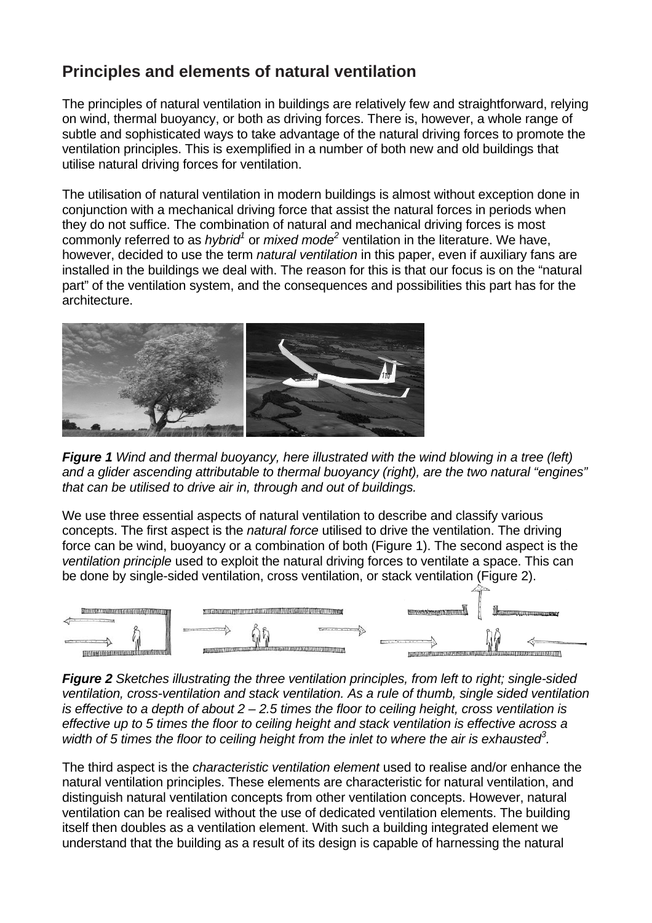## **Principles and elements of natural ventilation**

The principles of natural ventilation in buildings are relatively few and straightforward, relying on wind, thermal buoyancy, or both as driving forces. There is, however, a whole range of subtle and sophisticated ways to take advantage of the natural driving forces to promote the ventilation principles. This is exemplified in a number of both new and old buildings that utilise natural driving forces for ventilation.

The utilisation of natural ventilation in modern buildings is almost without exception done in conjunction with a mechanical driving force that assist the natural forces in periods when they do not suffice. The combination of natural and mechanical driving forces is most commonly referred to as *hybrid<sup>1</sup>* or *mixed mode*<sup>[2](#page-8-1)</sup> ventilation in the literature. We have, however, decided to use the term *natural ventilation* in this paper, even if auxiliary fans are installed in the buildings we deal with. The reason for this is that our focus is on the "natural part" of the ventilation system, and the consequences and possibilities this part has for the architecture.



*Figure 1 Wind and thermal buoyancy, here illustrated with the wind blowing in a tree (left) and a glider ascending attributable to thermal buoyancy (right), are the two natural "engines" that can be utilised to drive air in, through and out of buildings.* 

We use three essential aspects of natural ventilation to describe and classify various concepts. The first aspect is the *natural force* utilised to drive the ventilation. The driving force can be wind, buoyancy or a combination of both (Figure 1). The second aspect is the *ventilation principle* used to exploit the natural driving forces to ventilate a space. This can be done by single-sided ventilation, cross ventilation, or stack ventilation (Figure 2).



*Figure 2 Sketches illustrating the three ventilation principles, from left to right; single-sided ventilation, cross-ventilation and stack ventilation. As a rule of thumb, single sided ventilation is effective to a depth of about 2 – 2.5 times the floor to ceiling height, cross ventilation is effective up to 5 times the floor to ceiling height and stack ventilation is effective across a*  width of 5 times the floor to ceiling height from the inlet to where the air is exhausted<sup>3</sup>.

The third aspect is the *characteristic ventilation element* used to realise and/or enhance the natural ventilation principles. These elements are characteristic for natural ventilation, and distinguish natural ventilation concepts from other ventilation concepts. However, natural ventilation can be realised without the use of dedicated ventilation elements. The building itself then doubles as a ventilation element. With such a building integrated element we understand that the building as a result of its design is capable of harnessing the natural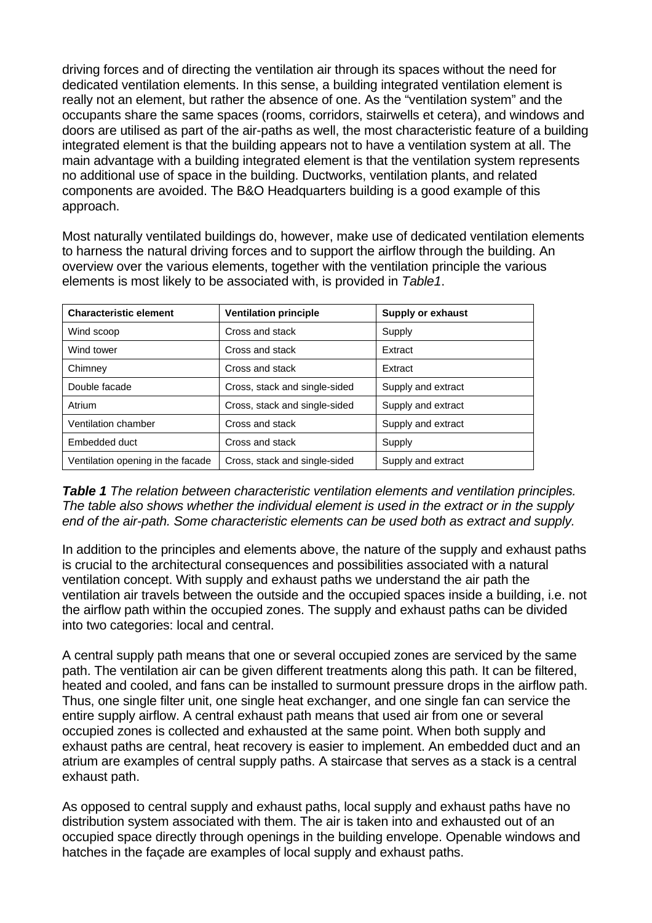driving forces and of directing the ventilation air through its spaces without the need for dedicated ventilation elements. In this sense, a building integrated ventilation element is really not an element, but rather the absence of one. As the "ventilation system" and the occupants share the same spaces (rooms, corridors, stairwells et cetera), and windows and doors are utilised as part of the air-paths as well, the most characteristic feature of a building integrated element is that the building appears not to have a ventilation system at all. The main advantage with a building integrated element is that the ventilation system represents no additional use of space in the building. Ductworks, ventilation plants, and related components are avoided. The B&O Headquarters building is a good example of this approach.

Most naturally ventilated buildings do, however, make use of dedicated ventilation elements to harness the natural driving forces and to support the airflow through the building. An overview over the various elements, together with the ventilation principle the various elements is most likely to be associated with, is provided in *Table1*.

| <b>Characteristic element</b>     | <b>Ventilation principle</b>  | <b>Supply or exhaust</b> |
|-----------------------------------|-------------------------------|--------------------------|
| Wind scoop                        | Cross and stack               | Supply                   |
| Wind tower                        | Cross and stack               | Extract                  |
| Chimney                           | Cross and stack               | Extract                  |
| Double facade                     | Cross, stack and single-sided | Supply and extract       |
| Atrium                            | Cross, stack and single-sided | Supply and extract       |
| Ventilation chamber               | Cross and stack               | Supply and extract       |
| Embedded duct                     | Cross and stack               | Supply                   |
| Ventilation opening in the facade | Cross, stack and single-sided | Supply and extract       |

*Table 1 The relation between characteristic ventilation elements and ventilation principles. The table also shows whether the individual element is used in the extract or in the supply end of the air-path. Some characteristic elements can be used both as extract and supply.* 

In addition to the principles and elements above, the nature of the supply and exhaust paths is crucial to the architectural consequences and possibilities associated with a natural ventilation concept. With supply and exhaust paths we understand the air path the ventilation air travels between the outside and the occupied spaces inside a building, i.e. not the airflow path within the occupied zones. The supply and exhaust paths can be divided into two categories: local and central.

A central supply path means that one or several occupied zones are serviced by the same path. The ventilation air can be given different treatments along this path. It can be filtered, heated and cooled, and fans can be installed to surmount pressure drops in the airflow path. Thus, one single filter unit, one single heat exchanger, and one single fan can service the entire supply airflow. A central exhaust path means that used air from one or several occupied zones is collected and exhausted at the same point. When both supply and exhaust paths are central, heat recovery is easier to implement. An embedded duct and an atrium are examples of central supply paths. A staircase that serves as a stack is a central exhaust path.

As opposed to central supply and exhaust paths, local supply and exhaust paths have no distribution system associated with them. The air is taken into and exhausted out of an occupied space directly through openings in the building envelope. Openable windows and hatches in the façade are examples of local supply and exhaust paths.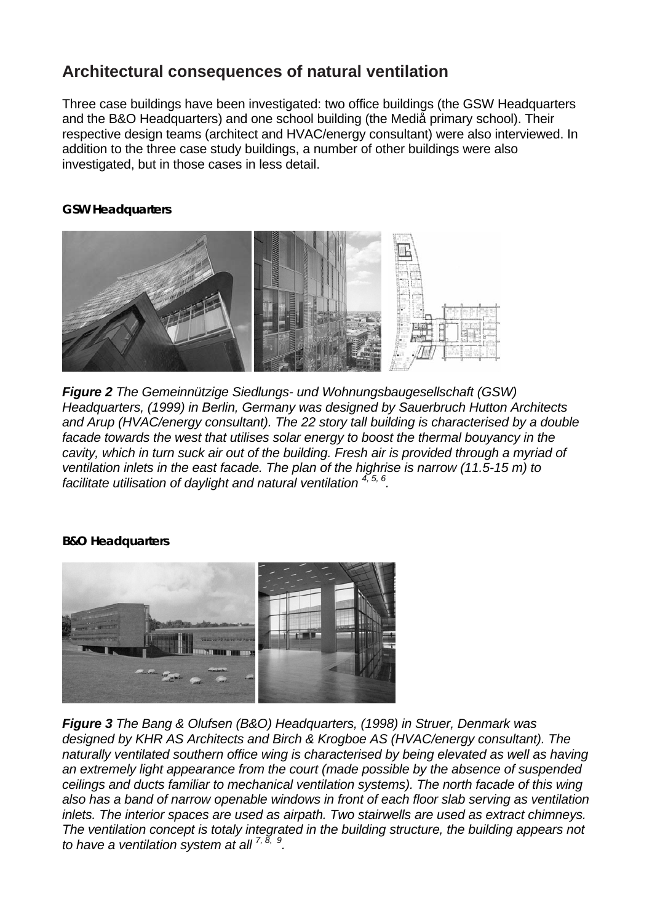## **Architectural consequences of natural ventilation**

Three case buildings have been investigated: two office buildings (the GSW Headquarters and the B&O Headquarters) and one school building (the Mediå primary school). Their respective design teams (architect and HVAC/energy consultant) were also interviewed. In addition to the three case study buildings, a number of other buildings were also investigated, but in those cases in less detail.

#### **GSW Headquarters**



*Figure 2 The Gemeinnützige Siedlungs- und Wohnungsbaugesellschaft (GSW) Headquarters, (1999) in Berlin, Germany was designed by Sauerbruch Hutton Architects and Arup (HVAC/energy consultant). The 22 story tall building is characterised by a double facade towards the west that utilises solar energy to boost the thermal bouyancy in the cavity, which in turn suck air out of the building. Fresh air is provided through a myriad of ventilation inlets in the east facade. The plan of the highrise is narrow (11.5-15 m) to facilitate utilisation of daylight and natural ventilation 4, 5, 6 [.](#page-8-3)* 

## **B&O Headquarters**



*Figure 3 The Bang & Olufsen (B&O) Headquarters, (1998) in Struer, Denmark was designed by KHR AS Architects and Birch & Krogboe AS (HVAC/energy consultant). The naturally ventilated southern office wing is characterised by being elevated as well as having an extremely light appearance from the court (made possible by the absence of suspended ceilings and ducts familiar to mechanical ventilation systems). The north facade of this wing also has a band of narrow openable windows in front of each floor slab serving as ventilation inlets. The interior spaces are used as airpath. Two stairwells are used as extract chimneys. The ventilation concept is totaly integrated in the building structure, the building appears not to have a ventilation system at all 7, 8, 9 .*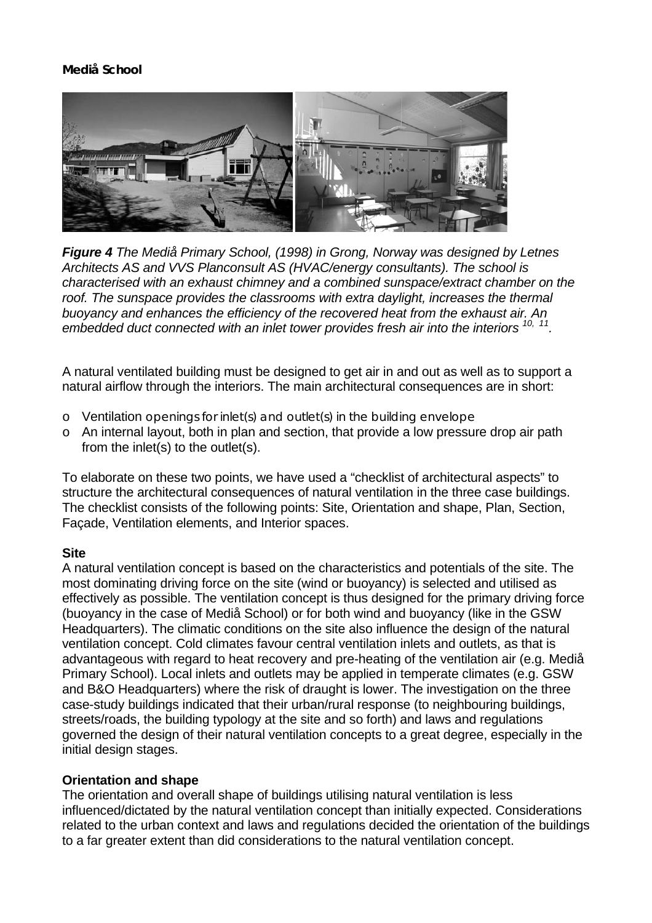## **Mediå School**



*Figure 4 The Mediå Primary School, (1998) in Grong, Norway was designed by Letnes Architects AS and VVS Planconsult AS (HVAC/energy consultants). The school is characterised with an exhaust chimney and a combined sunspace/extract chamber on the*  roof. The sunspace provides the classrooms with extra daylight, increases the thermal *buoyancy and enhances the efficiency of the recovered heat from the exhaust air. An embedded duct connected with an inlet tower provides fresh air into the interiors 10, 11[.](#page-8-8)* 

A natural ventilated building must be designed to get air in and out as well as to support a natural airflow through the interiors. The main architectural consequences are in short:

- o Ventilation openings for inlet(s) and outlet(s) in the building envelope
- o An internal layout, both in plan and section, that provide a low pressure drop air path from the inlet(s) to the outlet(s).

To elaborate on these two points, we have used a "checklist of architectural aspects" to structure the architectural consequences of natural ventilation in the three case buildings. The checklist consists of the following points: Site, Orientation and shape, Plan, Section, Façade, Ventilation elements, and Interior spaces.

## **Site**

A natural ventilation concept is based on the characteristics and potentials of the site. The most dominating driving force on the site (wind or buoyancy) is selected and utilised as effectively as possible. The ventilation concept is thus designed for the primary driving force (buoyancy in the case of Mediå School) or for both wind and buoyancy (like in the GSW Headquarters). The climatic conditions on the site also influence the design of the natural ventilation concept. Cold climates favour central ventilation inlets and outlets, as that is advantageous with regard to heat recovery and pre-heating of the ventilation air (e.g. Mediå Primary School). Local inlets and outlets may be applied in temperate climates (e.g. GSW and B&O Headquarters) where the risk of draught is lower. The investigation on the three case-study buildings indicated that their urban/rural response (to neighbouring buildings, streets/roads, the building typology at the site and so forth) and laws and regulations governed the design of their natural ventilation concepts to a great degree, especially in the initial design stages.

#### **Orientation and shape**

The orientation and overall shape of buildings utilising natural ventilation is less influenced/dictated by the natural ventilation concept than initially expected. Considerations related to the urban context and laws and regulations decided the orientation of the buildings to a far greater extent than did considerations to the natural ventilation concept.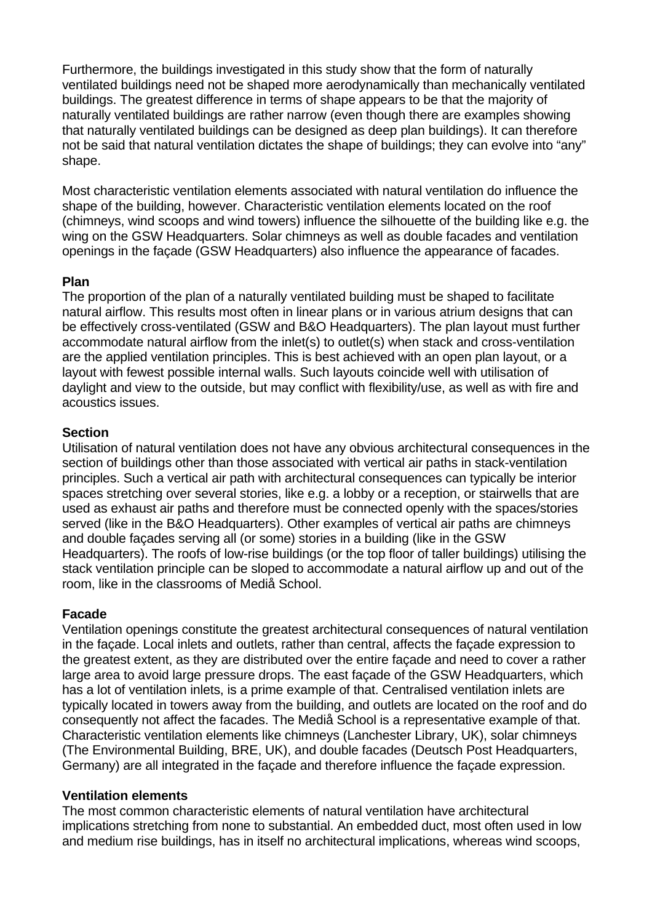Furthermore, the buildings investigated in this study show that the form of naturally ventilated buildings need not be shaped more aerodynamically than mechanically ventilated buildings. The greatest difference in terms of shape appears to be that the majority of naturally ventilated buildings are rather narrow (even though there are examples showing that naturally ventilated buildings can be designed as deep plan buildings). It can therefore not be said that natural ventilation dictates the shape of buildings; they can evolve into "any" shape.

Most characteristic ventilation elements associated with natural ventilation do influence the shape of the building, however. Characteristic ventilation elements located on the roof (chimneys, wind scoops and wind towers) influence the silhouette of the building like e.g. the wing on the GSW Headquarters. Solar chimneys as well as double facades and ventilation openings in the façade (GSW Headquarters) also influence the appearance of facades.

## **Plan**

The proportion of the plan of a naturally ventilated building must be shaped to facilitate natural airflow. This results most often in linear plans or in various atrium designs that can be effectively cross-ventilated (GSW and B&O Headquarters). The plan layout must further accommodate natural airflow from the inlet(s) to outlet(s) when stack and cross-ventilation are the applied ventilation principles. This is best achieved with an open plan layout, or a layout with fewest possible internal walls. Such layouts coincide well with utilisation of daylight and view to the outside, but may conflict with flexibility/use, as well as with fire and acoustics issues.

## **Section**

Utilisation of natural ventilation does not have any obvious architectural consequences in the section of buildings other than those associated with vertical air paths in stack-ventilation principles. Such a vertical air path with architectural consequences can typically be interior spaces stretching over several stories, like e.g. a lobby or a reception, or stairwells that are used as exhaust air paths and therefore must be connected openly with the spaces/stories served (like in the B&O Headquarters). Other examples of vertical air paths are chimneys and double façades serving all (or some) stories in a building (like in the GSW Headquarters). The roofs of low-rise buildings (or the top floor of taller buildings) utilising the stack ventilation principle can be sloped to accommodate a natural airflow up and out of the room, like in the classrooms of Mediå School.

## **Facade**

Ventilation openings constitute the greatest architectural consequences of natural ventilation in the façade. Local inlets and outlets, rather than central, affects the façade expression to the greatest extent, as they are distributed over the entire façade and need to cover a rather large area to avoid large pressure drops. The east façade of the GSW Headquarters, which has a lot of ventilation inlets, is a prime example of that. Centralised ventilation inlets are typically located in towers away from the building, and outlets are located on the roof and do consequently not affect the facades. The Mediå School is a representative example of that. Characteristic ventilation elements like chimneys (Lanchester Library, UK), solar chimneys (The Environmental Building, BRE, UK), and double facades (Deutsch Post Headquarters, Germany) are all integrated in the façade and therefore influence the façade expression.

## **Ventilation elements**

The most common characteristic elements of natural ventilation have architectural implications stretching from none to substantial. An embedded duct, most often used in low and medium rise buildings, has in itself no architectural implications, whereas wind scoops,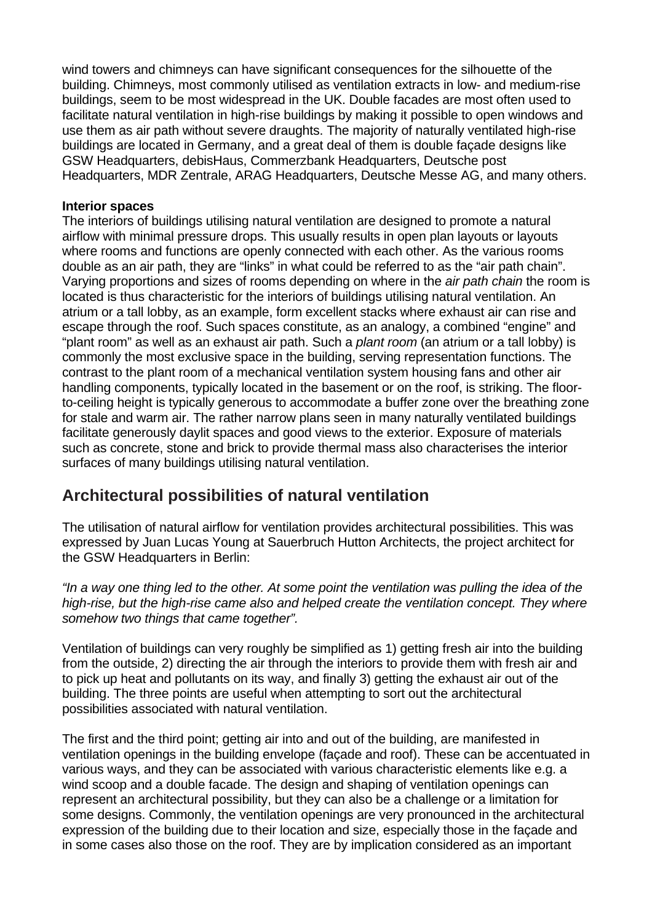wind towers and chimneys can have significant consequences for the silhouette of the building. Chimneys, most commonly utilised as ventilation extracts in low- and medium-rise buildings, seem to be most widespread in the UK. Double facades are most often used to facilitate natural ventilation in high-rise buildings by making it possible to open windows and use them as air path without severe draughts. The majority of naturally ventilated high-rise buildings are located in Germany, and a great deal of them is double façade designs like GSW Headquarters, debisHaus, Commerzbank Headquarters, Deutsche post Headquarters, MDR Zentrale, ARAG Headquarters, Deutsche Messe AG, and many others.

#### **Interior spaces**

The interiors of buildings utilising natural ventilation are designed to promote a natural airflow with minimal pressure drops. This usually results in open plan layouts or layouts where rooms and functions are openly connected with each other. As the various rooms double as an air path, they are "links" in what could be referred to as the "air path chain". Varying proportions and sizes of rooms depending on where in the *air path chain* the room is located is thus characteristic for the interiors of buildings utilising natural ventilation. An atrium or a tall lobby, as an example, form excellent stacks where exhaust air can rise and escape through the roof. Such spaces constitute, as an analogy, a combined "engine" and "plant room" as well as an exhaust air path. Such a *plant room* (an atrium or a tall lobby) is commonly the most exclusive space in the building, serving representation functions. The contrast to the plant room of a mechanical ventilation system housing fans and other air handling components, typically located in the basement or on the roof, is striking. The floorto-ceiling height is typically generous to accommodate a buffer zone over the breathing zone for stale and warm air. The rather narrow plans seen in many naturally ventilated buildings facilitate generously daylit spaces and good views to the exterior. Exposure of materials such as concrete, stone and brick to provide thermal mass also characterises the interior surfaces of many buildings utilising natural ventilation.

## **Architectural possibilities of natural ventilation**

The utilisation of natural airflow for ventilation provides architectural possibilities. This was expressed by Juan Lucas Young at Sauerbruch Hutton Architects, the project architect for the GSW Headquarters in Berlin:

*"In a way one thing led to the other. At some point the ventilation was pulling the idea of the high-rise, but the high-rise came also and helped create the ventilation concept. They where somehow two things that came together".* 

Ventilation of buildings can very roughly be simplified as 1) getting fresh air into the building from the outside, 2) directing the air through the interiors to provide them with fresh air and to pick up heat and pollutants on its way, and finally 3) getting the exhaust air out of the building. The three points are useful when attempting to sort out the architectural possibilities associated with natural ventilation.

The first and the third point; getting air into and out of the building, are manifested in ventilation openings in the building envelope (façade and roof). These can be accentuated in various ways, and they can be associated with various characteristic elements like e.g. a wind scoop and a double facade. The design and shaping of ventilation openings can represent an architectural possibility, but they can also be a challenge or a limitation for some designs. Commonly, the ventilation openings are very pronounced in the architectural expression of the building due to their location and size, especially those in the façade and in some cases also those on the roof. They are by implication considered as an important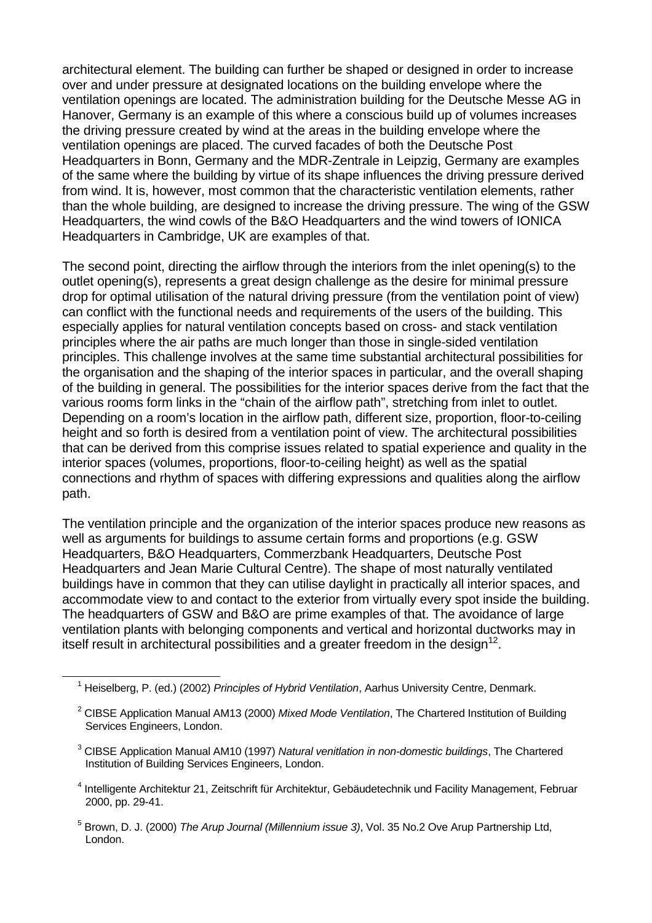architectural element. The building can further be shaped or designed in order to increase over and under pressure at designated locations on the building envelope where the ventilation openings are located. The administration building for the Deutsche Messe AG in Hanover, Germany is an example of this where a conscious build up of volumes increases the driving pressure created by wind at the areas in the building envelope where the ventilation openings are placed. The curved facades of both the Deutsche Post Headquarters in Bonn, Germany and the MDR-Zentrale in Leipzig, Germany are examples of the same where the building by virtue of its shape influences the driving pressure derived from wind. It is, however, most common that the characteristic ventilation elements, rather than the whole building, are designed to increase the driving pressure. The wing of the GSW Headquarters, the wind cowls of the B&O Headquarters and the wind towers of IONICA Headquarters in Cambridge, UK are examples of that.

The second point, directing the airflow through the interiors from the inlet opening(s) to the outlet opening(s), represents a great design challenge as the desire for minimal pressure drop for optimal utilisation of the natural driving pressure (from the ventilation point of view) can conflict with the functional needs and requirements of the users of the building. This especially applies for natural ventilation concepts based on cross- and stack ventilation principles where the air paths are much longer than those in single-sided ventilation principles. This challenge involves at the same time substantial architectural possibilities for the organisation and the shaping of the interior spaces in particular, and the overall shaping of the building in general. The possibilities for the interior spaces derive from the fact that the various rooms form links in the "chain of the airflow path", stretching from inlet to outlet. Depending on a room's location in the airflow path, different size, proportion, floor-to-ceiling height and so forth is desired from a ventilation point of view. The architectural possibilities that can be derived from this comprise issues related to spatial experience and quality in the interior spaces (volumes, proportions, floor-to-ceiling height) as well as the spatial connections and rhythm of spaces with differing expressions and qualities along the airflow path.

The ventilation principle and the organization of the interior spaces produce new reasons as well as arguments for buildings to assume certain forms and proportions (e.g. GSW Headquarters, B&O Headquarters, Commerzbank Headquarters, Deutsche Post Headquarters and Jean Marie Cultural Centre). The shape of most naturally ventilated buildings have in common that they can utilise daylight in practically all interior spaces, and accommodate view to and contact to the exterior from virtually every spot inside the building. The headquarters of GSW and B&O are prime examples of that. The avoidance of large ventilation plants with belonging components and vertical and horizontal ductworks may in itself result in architectural possibilities and a greater freedom in the design $^{12}$ .

4 Intelligente Architektur 21, Zeitschrift für Architektur, Gebäudetechnik und Facility Management, Februar 2000, pp. 29-41.

<sup>1</sup> Heiselberg, P. (ed.) (2002) *Principles of Hybrid Ventilation*, Aarhus University Centre, Denmark.

<sup>2</sup> CIBSE Application Manual AM13 (2000) *Mixed Mode Ventilation*, The Chartered Institution of Building Services Engineers, London.

<sup>3</sup> CIBSE Application Manual AM10 (1997) *Natural venitlation in non-domestic buildings*, The Chartered Institution of Building Services Engineers, London.

<sup>5</sup> Brown, D. J. (2000) *The Arup Journal (Millennium issue 3)*, Vol. 35 No.2 Ove Arup Partnership Ltd, London.